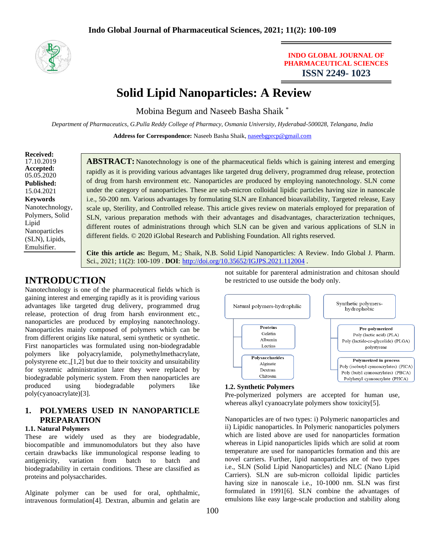

### **INDO GLOBAL JOURNAL OF PHARMACEUTICAL SCIENCES ISSN 2249- 1023**

# **Solid Lipid Nanoparticles: A Review**

Mobina Begum and Naseeb Basha Shaik \*

*Department of Pharmaceutics, G.Pulla Reddy College of Pharmacy, Osmania University, Hyderabad-500028, Telangana, India*

**Address for Correspondence:** Naseeb Basha Shaik, [naseebgprcp@gmail.com](mailto:naseebgprcp@gmail.com)

#### **Received:** 17.10.2019 **Accepted:**  05.05.2020 **Published:** 15.04.2021 **Keywords** Nanotechnology, Polymers, Solid Lipid Nanoparticles (SLN), Lipids, Emulsifier.

**ABSTRACT:** Nanotechnology is one of the pharmaceutical fields which is gaining interest and emerging rapidly as it is providing various advantages like targeted drug delivery, programmed drug release, protection of drug from harsh environment etc. Nanoparticles are produced by employing nanotechnology. SLN come under the category of nanoparticles. These are sub-micron colloidal lipidic particles having size in nanoscale i.e., 50-200 nm. Various advantages by formulating SLN are Enhanced bioavailability, Targeted release, Easy scale up, Sterility, and Controlled release. This article gives review on materials employed for preparation of SLN, various preparation methods with their advantages and disadvantages, characterization techniques, different routes of administrations through which SLN can be given and various applications of SLN in different fields. © 2020 iGlobal Research and Publishing Foundation. All rights reserved.

**Cite this article as:** Begum, M.; Shaik, N.B. Solid Lipid Nanoparticles: A Review. Indo Global J. Pharm. Sci., 2021; 11(2): 100-109 . **DOI**: <http://doi.org/10.35652/IGJPS.2021.112004> .

# **INTRODUCTION**

Nanotechnology is one of the pharmaceutical fields which is gaining interest and emerging rapidly as it is providing various advantages like targeted drug delivery, programmed drug release, protection of drug from harsh environment etc., nanoparticles are produced by employing nanotechnology. Nanoparticles mainly composed of polymers which can be from different origins like natural, semi synthetic or synthetic. First nanoparticles was formulated using non-biodegradable polymers like polyacrylamide, polymethylmethacrylate, polystyrene etc.,[1,2] but due to their toxicity and unsuitability for systemic administration later they were replaced by biodegradable polymeric system. From then nanoparticles are produced using biodegradable polymers like poly(cyanoacrylate)[3].

# **1. POLYMERS USED IN NANOPARTICLE PREPARATION**

#### **1.1. Natural Polymers**

These are widely used as they are biodegradable, biocompatible and immunomodulators but they also have certain drawbacks like immunological response leading to antigenicity, variation from batch to batch and biodegradability in certain conditions. These are classified as proteins and polysaccharides.

Alginate polymer can be used for oral, ophthalmic, intravenous formulation[4]. Dextran, albumin and gelatin are

not suitable for parenteral administration and chitosan should be restricted to use outside the body only.



#### **1.2. Synthetic Polymers**

Pre-polymerized polymers are accepted for human use, whereas alkyl cyanoacrylate polymers show toxicity[5].

Nanoparticles are of two types: i) Polymeric nanoparticles and ii) Lipidic nanoparticles. In Polymeric nanoparticles polymers which are listed above are used for nanoparticles formation whereas in Lipid nanoparticles lipids which are solid at room temperature are used for nanoparticles formation and this are novel carriers. Further, lipid nanoparticles are of two types i.e., SLN (Solid Lipid Nanoparticles) and NLC (Nano Lipid Carriers). SLN are sub-micron colloidal lipidic particles having size in nanoscale i.e., 10-1000 nm. SLN was first formulated in 1991[6]. SLN combine the advantages of emulsions like easy large-scale production and stability along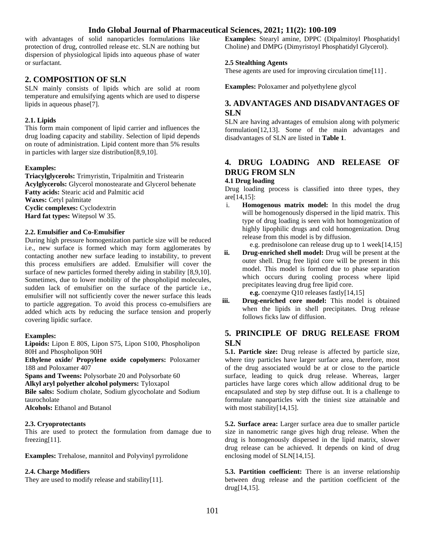with advantages of solid nanoparticles formulations like protection of drug, controlled release etc. SLN are nothing but dispersion of physiological lipids into aqueous phase of water or surfactant.

### **2. COMPOSITION OF SLN**

SLN mainly consists of lipids which are solid at room temperature and emulsifying agents which are used to disperse lipids in aqueous phase[7].

#### **2.1. Lipids**

This form main component of lipid carrier and influences the drug loading capacity and stability. Selection of lipid depends on route of administration. Lipid content more than 5% results in particles with larger size distribution[8,9,10].

#### **Examples:**

**Triacylglycerols:** Trimyristin, Tripalmitin and Tristearin **Acylglycerols:** Glycerol monostearate and Glycerol behenate **Fatty acids:** Stearic acid and Palmitic acid **Waxes:** Cetyl palmitate **Cyclic complexes:** Cyclodextrin **Hard fat types:** Witepsol W 35.

#### **2.2. Emulsifier and Co-Emulsifier**

During high pressure homogenization particle size will be reduced i.e., new surface is formed which may form agglomerates by contacting another new surface leading to instability, to prevent this process emulsifiers are added. Emulsifier will cover the surface of new particles formed thereby aiding in stability [8,9,10]. Sometimes, due to lower mobility of the phospholipid molecules, sudden lack of emulsifier on the surface of the particle i.e., emulsifier will not sufficiently cover the newer surface this leads to particle aggregation. To avoid this process co-emulsifiers are added which acts by reducing the surface tension and properly covering lipidic surface.

#### **Examples:**

**Lipoids:** Lipon E 80S, Lipon S75, Lipon S100, Phospholipon 80H and Phospholipon 90H

**Ethylene oxide/ Propylene oxide copolymers:** Poloxamer 188 and Poloxamer 407

**Spans and Tweens:** Polysorbate 20 and Polysorbate 60 **Alkyl aryl polyether alcohol polymers:** Tyloxapol **Bile salts:** Sodium cholate, Sodium glycocholate and Sodium taurocholate **Alcohols:** Ethanol and Butanol

#### **2.3. Cryoprotectants**

This are used to protect the formulation from damage due to freezing[11].

**Examples:** Trehalose, mannitol and Polyvinyl pyrrolidone

#### **2.4. Charge Modifiers**

They are used to modify release and stability[11].

**Examples:** Stearyl amine, DPPC (Dipalmitoyl Phosphatidyl Choline) and DMPG (Dimyristoyl Phosphatidyl Glycerol).

#### **2.5 Stealthing Agents**

These agents are used for improving circulation time[11].

**Examples:** Poloxamer and polyethylene glycol

### **3. ADVANTAGES AND DISADVANTAGES OF SLN**

SLN are having advantages of emulsion along with polymeric formulation[12,13]. Some of the main advantages and disadvantages of SLN are listed in **Table 1**.

# **4. DRUG LOADING AND RELEASE OF DRUG FROM SLN**

#### **4.1 Drug loading**

Drug loading process is classified into three types, they are[14,15]:

i. **Homogenous matrix model:** In this model the drug will be homogenously dispersed in the lipid matrix. This type of drug loading is seen with hot homogenization of highly lipophilic drugs and cold homogenization. Drug release from this model is by diffusion.

e.g. prednisolone can release drug up to 1 week[14,15]

**ii. Drug-enriched shell model:** Drug will be present at the outer shell. Drug free lipid core will be present in this model. This model is formed due to phase separation which occurs during cooling process where lipid precipitates leaving drug free lipid core.

**e.g.** coenzyme Q10 releases fastly[14,15]

**iii. Drug-enriched core model:** This model is obtained when the lipids in shell precipitates. Drug release follows ficks law of diffusion.

### **5. PRINCIPLE OF DRUG RELEASE FROM SLN**

**5.1. Particle size:** Drug release is affected by particle size, where tiny particles have larger surface area, therefore, most of the drug associated would be at or close to the particle surface, leading to quick drug release. Whereas, larger particles have large cores which allow additional drug to be encapsulated and step by step diffuse out. It is a challenge to formulate nanoparticles with the tiniest size attainable and with most stability<sup>[14,15]</sup>.

**5.2. Surface area:** Larger surface area due to smaller particle size in nanometric range gives high drug release. When the drug is homogenously dispersed in the lipid matrix, slower drug release can be achieved. It depends on kind of drug enclosing model of SLN[14,15].

**5.3. Partition coefficient:** There is an inverse relationship between drug release and the partition coefficient of the drug[14,15].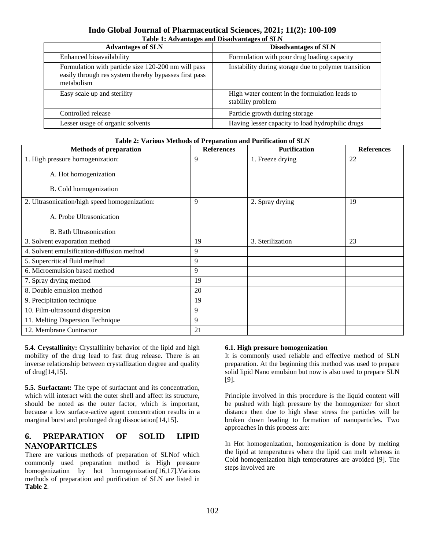### **Indo Global Journal of Pharmaceutical Sciences, 2021; 11(2): 100-109 Table 1: Advantages and Disadvantages of SLN**

| <b>Advantages of SLN</b>                                                                                                   | <b>Disadvantages of SLN</b>                                         |
|----------------------------------------------------------------------------------------------------------------------------|---------------------------------------------------------------------|
| Enhanced bioavailability                                                                                                   | Formulation with poor drug loading capacity                         |
| Formulation with particle size 120-200 nm will pass<br>easily through res system thereby bypasses first pass<br>metabolism | Instability during storage due to polymer transition                |
| Easy scale up and sterility                                                                                                | High water content in the formulation leads to<br>stability problem |
| Controlled release                                                                                                         | Particle growth during storage                                      |
| Lesser usage of organic solvents                                                                                           | Having lesser capacity to load hydrophilic drugs                    |

#### **Table 2: Various Methods of Preparation and Purification of SLN**

| <b>Methods of preparation</b>                 | <b>References</b> | <b>Purification</b> | <b>References</b> |
|-----------------------------------------------|-------------------|---------------------|-------------------|
| 1. High pressure homogenization:              | 9                 | 1. Freeze drying    | 22                |
| A. Hot homogenization                         |                   |                     |                   |
| B. Cold homogenization                        |                   |                     |                   |
| 2. Ultrasonication/high speed homogenization: | 9                 | 2. Spray drying     | 19                |
| A. Probe Ultrasonication                      |                   |                     |                   |
| <b>B.</b> Bath Ultrasonication                |                   |                     |                   |
| 3. Solvent evaporation method                 | 19                | 3. Sterilization    | 23                |
| 4. Solvent emulsification-diffusion method    | 9                 |                     |                   |
| 5. Supercritical fluid method                 | 9                 |                     |                   |
| 6. Microemulsion based method                 | 9                 |                     |                   |
| 7. Spray drying method                        | 19                |                     |                   |
| 8. Double emulsion method                     | 20                |                     |                   |
| 9. Precipitation technique                    | 19                |                     |                   |
| 10. Film-ultrasound dispersion                | 9                 |                     |                   |
| 11. Melting Dispersion Technique              | 9                 |                     |                   |
| 12. Membrane Contractor                       | 21                |                     |                   |

**5.4. Crystallinity:** Crystallinity behavior of the lipid and high mobility of the drug lead to fast drug release. There is an inverse relationship between crystallization degree and quality of drug[14,15].

**5.5. Surfactant:** The type of surfactant and its concentration, which will interact with the outer shell and affect its structure, should be noted as the outer factor, which is important, because a low surface-active agent concentration results in a marginal burst and prolonged drug dissociation<sup>[14,15]</sup>.

### **6. PREPARATION OF SOLID LIPID NANOPARTICLES**

There are various methods of preparation of SLNof which commonly used preparation method is High pressure homogenization by hot homogenization[16,17]. Various methods of preparation and purification of SLN are listed in **Table 2**.

#### **6.1. High pressure homogenization**

It is commonly used reliable and effective method of SLN preparation. At the beginning this method was used to prepare solid lipid Nano emulsion but now is also used to prepare SLN [9].

Principle involved in this procedure is the liquid content will be pushed with high pressure by the homogenizer for short distance then due to high shear stress the particles will be broken down leading to formation of nanoparticles. Two approaches in this process are:

In Hot homogenization, homogenization is done by melting the lipid at temperatures where the lipid can melt whereas in Cold homogenization high temperatures are avoided [9]. The steps involved are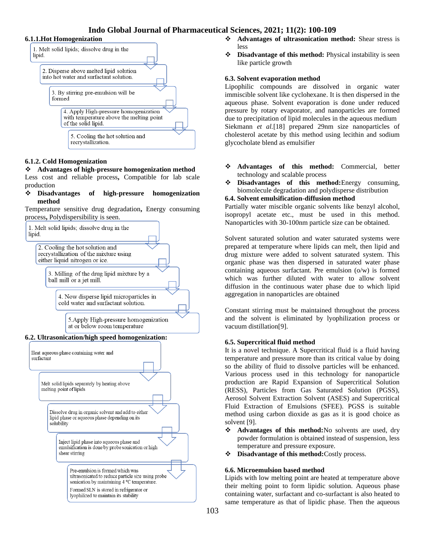#### **6.1.1.Hot Homogenization**



#### **6.1.2. Cold Homogenization**

❖ **Advantages of high-pressure homogenization method** Less cost and reliable process**,** Compatible for lab scale production

❖ **Disadvantages of high-pressure homogenization method**

Temperature sensitive drug degradation**,** Energy consuming process**,** Polydispersibility is seen.





- ❖ **Advantages of ultrasonication method:** Shear stress is less
- ❖ **Disadvantage of this method:** Physical instability is seen like particle growth

#### **6.3. Solvent evaporation method**

Lipophilic compounds are dissolved in organic water immiscible solvent like cyclohexane. It is then dispersed in the aqueous phase. Solvent evaporation is done under reduced pressure by rotary evaporator, and nanoparticles are formed due to precipitation of lipid molecules in the aqueous medium Siekmann *et al.*[18] prepared 29nm size nanoparticles of cholesterol acetate by this method using lecithin and sodium glycocholate blend as emulsifier

- ❖ **Advantages of this method:** Commercial, better technology and scalable process
- ❖ **Disadvantages of this method:**Energy consuming, biomolecule degradation and polydisperse distribution

#### **6.4. Solvent emulsification-diffusion method**

Partially water miscible organic solvents like benzyl alcohol, isopropyl acetate etc., must be used in this method. Nanoparticles with 30-100nm particle size can be obtained.

Solvent saturated solution and water saturated systems were prepared at temperature where lipids can melt, then lipid and drug mixture were added to solvent saturated system. This organic phase was then dispersed in saturated water phase containing aqueous surfactant. Pre emulsion (o/w) is formed which was further diluted with water to allow solvent diffusion in the continuous water phase due to which lipid aggregation in nanoparticles are obtained

Constant stirring must be maintained throughout the process and the solvent is eliminated by lyophilization process or vacuum distillation[9].

#### **6.5. Supercritical fluid method**

It is a novel technique. A Supercritical fluid is a fluid having temperature and pressure more than its critical value by doing so the ability of fluid to dissolve particles will be enhanced. Various process used in this technology for nanoparticle production are Rapid Expansion of Supercritical Solution (RESS), Particles from Gas Saturated Solution (PGSS), Aerosol Solvent Extraction Solvent (ASES) and Supercritical Fluid Extraction of Emulsions (SFEE). PGSS is suitable method using carbon dioxide as gas as it is good choice as solvent [9].

- ❖ **Advantages of this method:**No solvents are used, dry powder formulation is obtained instead of suspension, less temperature and pressure exposure.
- ❖ **Disadvantage of this method:**Costly process.

#### **6.6. Microemulsion based method**

Lipids with low melting point are heated at temperature above their melting point to form lipidic solution. Aqueous phase containing water, surfactant and co-surfactant is also heated to same temperature as that of lipidic phase. Then the aqueous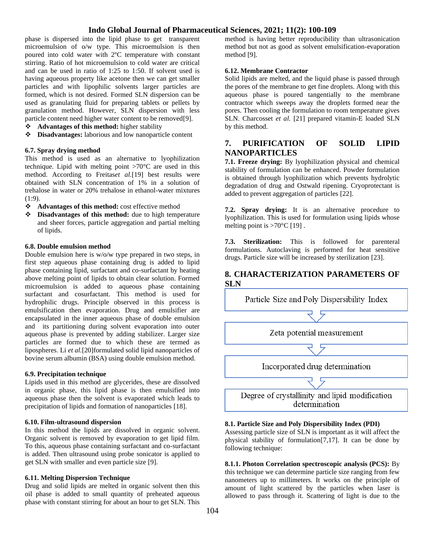phase is dispersed into the lipid phase to get transparent microemulsion of o/w type. This microemulsion is then poured into cold water with 2ºC temperature with constant stirring. Ratio of hot microemulsion to cold water are critical and can be used in ratio of 1:25 to 1:50. If solvent used is having aqueous property like acetone then we can get smaller particles and with lipophilic solvents larger particles are formed, which is not desired. Formed SLN dispersion can be used as granulating fluid for preparing tablets or pellets by granulation method. However, SLN dispersion with less particle content need higher water content to be removed[9].

- ❖ **Advantages of this method:** higher stability
- ❖ **Disadvantages:** laborious and low nanoparticle content

#### **6.7. Spray drying method**

This method is used as an alternative to lyophilization technique. Lipid with melting point >70°C are used in this method. According to Freitas*et al.*[19] best results were obtained with SLN concentration of 1% in a solution of trehalose in water or 20% trehalose in ethanol-water mixtures (1:9).

- ❖ **Advantages of this method:** cost effective method
- ❖ **Disadvantages of this method:** due to high temperature and sheer forces, particle aggregation and partial melting of lipids.

#### **6.8. Double emulsion method**

Double emulsion here is w/o/w type prepared in two steps, in first step aqueous phase containing drug is added to lipid phase containing lipid, surfactant and co-surfactant by heating above melting point of lipids to obtain clear solution. Formed microemulsion is added to aqueous phase containing surfactant and cosurfactant. This method is used for hydrophilic drugs. Principle observed in this process is emulsification then evaporation. Drug and emulsifier are encapsulated in the inner aqueous phase of double emulsion and its partitioning during solvent evaporation into outer aqueous phase is prevented by adding stabilizer. Larger size particles are formed due to which these are termed as lipospheres. Li *et al.*[20]formulated solid lipid nanoparticles of bovine serum albumin (BSA) using double emulsion method.

#### **6.9. Precipitation technique**

Lipids used in this method are glycerides, these are dissolved in organic phase, this lipid phase is then emulsified into aqueous phase then the solvent is evaporated which leads to precipitation of lipids and formation of nanoparticles [18].

#### **6.10. Film-ultrasound dispersion**

In this method the lipids are dissolved in organic solvent. Organic solvent is removed by evaporation to get lipid film. To this, aqueous phase containing surfactant and co-surfactant is added. Then ultrasound using probe sonicator is applied to get SLN with smaller and even particle size [9].

#### **6.11. Melting Dispersion Technique**

Drug and solid lipids are melted in organic solvent then this oil phase is added to small quantity of preheated aqueous phase with constant stirring for about an hour to get SLN. This

method is having better reproducibility than ultrasonication method but not as good as solvent emulsification-evaporation method [9].

#### **6.12. Membrane Contractor**

Solid lipids are melted, and the liquid phase is passed through the pores of the membrane to get fine droplets. Along with this aqueous phase is poured tangentially to the membrane contractor which sweeps away the droplets formed near the pores. Then cooling the formulation to room temperature gives SLN. Charcosset *et al.* [21] prepared vitamin-E loaded SLN by this method.

### **7. PURIFICATION OF SOLID LIPID NANOPARTICLES**

**7.1. Freeze drying:** By lyophilization physical and chemical stability of formulation can be enhanced. Powder formulation is obtained through lyophilization which prevents hydrolytic degradation of drug and Ostwald ripening. Cryoprotectant is added to prevent aggregation of particles [22].

**7.2. Spray drying:** It is an alternative procedure to lyophilization. This is used for formulation using lipids whose melting point is  $>70^{\circ}$ C [19].

**7.3. Sterilization:** This is followed for parenteral formulations. Autoclaving is performed for heat sensitive drugs. Particle size will be increased by sterilization [23].

### **8. CHARACTERIZATION PARAMETERS OF SLN**



#### **8.1. Particle Size and Poly Dispersibility Index (PDI)**

Assessing particle size of SLN is important as it will affect the physical stability of formulation[7,17]. It can be done by following technique:

**8.1.1. Photon Correlation spectroscopic analysis (PCS):** By this technique we can determine particle size ranging from few nanometers up to millimeters. It works on the principle of amount of light scattered by the particles when laser is allowed to pass through it. Scattering of light is due to the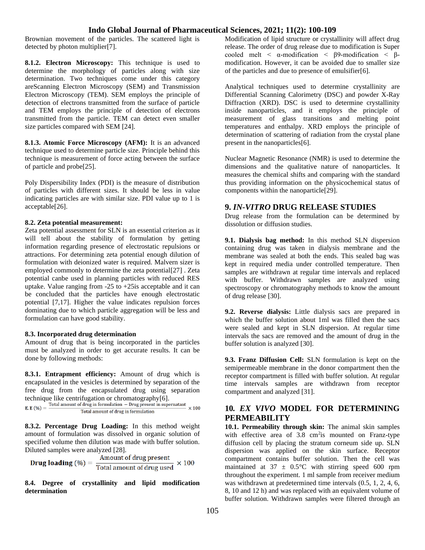Brownian movement of the particles. The scattered light is detected by photon multiplier[7].

**8.1.2. Electron Microscopy:** This technique is used to determine the morphology of particles along with size determination. Two techniques come under this category areScanning Electron Microscopy (SEM) and Transmission Electron Microscopy (TEM). SEM employs the principle of detection of electrons transmitted from the surface of particle and TEM employs the principle of detection of electrons transmitted from the particle. TEM can detect even smaller size particles compared with SEM [24].

**8.1.3. Atomic Force Microscopy (AFM):** It is an advanced technique used to determine particle size. Principle behind this technique is measurement of force acting between the surface of particle and probe[25].

Poly Dispersibility Index (PDI) is the measure of distribution of particles with different sizes. It should be less in value indicating particles are with similar size. PDI value up to 1 is acceptable[26].

#### **8.2. Zeta potential measurement:**

Zeta potential assessment for SLN is an essential criterion as it will tell about the stability of formulation by getting information regarding presence of electrostatic repulsions or attractions. For determining zeta potential enough dilution of formulation with deionized water is required. Malvern sizer is employed commonly to determine the zeta potential[27] . Zeta potential canbe used in planning particles with reduced RES uptake. Value ranging from -25 to +25is acceptable and it can be concluded that the particles have enough electrostatic potential [7,17]. Higher the value indicates repulsion forces dominating due to which particle aggregation will be less and formulation can have good stability.

#### **8.3. Incorporated drug determination**

Amount of drug that is being incorporated in the particles must be analyzed in order to get accurate results. It can be done by following methods:

**8.3.1. Entrapment efficiency:** Amount of drug which is encapsulated in the vesicles is determined by separation of the free drug from the encapsulated drug using separation technique like centrifugation or chromatography[6].<br>E. E.  $(\%)$  = Total amount of drug in formulation – Drug present in supernatant  $\times 100$ 

Total amount of drug in formulation

**8.3.2. Percentage Drug Loading:** In this method weight amount of formulation was dissolved in organic solution of specified volume then dilution was made with buffer solution. Diluted samples were analyzed [28].

**Drug loading** (
$$
\%
$$
) =  $\frac{\text{Amount of drug present}}{\text{Total amount of drug used}} \times 100$ 

**8.4. Degree of crystallinity and lipid modification determination**

Modification of lipid structure or crystallinity will affect drug release. The order of drug release due to modification is Super cooled melt  $\langle \alpha$ -modification  $\langle \beta$ -modification  $\langle \beta$ modification. However, it can be avoided due to smaller size of the particles and due to presence of emulsifier[6].

Analytical techniques used to determine crystallinity are Differential Scanning Calorimetry (DSC) and powder X-Ray Diffraction (XRD). DSC is used to determine crystallinity inside nanoparticles, and it employs the principle of measurement of glass transitions and melting point temperatures and enthalpy. XRD employs the principle of determination of scattering of radiation from the crystal plane present in the nanoparticles[6].

Nuclear Magnetic Resonance (NMR) is used to determine the dimensions and the qualitative nature of nanoparticles. It measures the chemical shifts and comparing with the standard thus providing information on the physicochemical status of components within the nanoparticle[29].

#### **9.** *IN-VITRO* **DRUG RELEASE STUDIES**

Drug release from the formulation can be determined by dissolution or diffusion studies.

**9.1. Dialysis bag method:** In this method SLN dispersion containing drug was taken in dialysis membrane and the membrane was sealed at both the ends. This sealed bag was kept in required media under controlled temperature. Then samples are withdrawn at regular time intervals and replaced with buffer. Withdrawn samples are analyzed using spectroscopy or chromatography methods to know the amount of drug release [30].

**9.2. Reverse dialysis:** Little dialysis sacs are prepared in which the buffer solution about 1ml was filled then the sacs were sealed and kept in SLN dispersion. At regular time intervals the sacs are removed and the amount of drug in the buffer solution is analyzed [30].

**9.3. Franz Diffusion Cell:** SLN formulation is kept on the semipermeable membrane in the donor compartment then the receptor compartment is filled with buffer solution. At regular time intervals samples are withdrawn from receptor compartment and analyzed [31].

### **10***. EX VIVO* **MODEL FOR DETERMINING PERMEABILITY**

**10.1. Permeability through skin:** The animal skin samples with effective area of  $3.8 \text{ cm}^2$  is mounted on Franz-type diffusion cell by placing the stratum corneum side up. SLN dispersion was applied on the skin surface. Receptor compartment contains buffer solution. Then the cell was maintained at  $37 \pm 0.5^{\circ}$ C with stirring speed 600 rpm throughout the experiment. 1 ml sample from receiver medium was withdrawn at predetermined time intervals  $(0.5, 1, 2, 4, 6, 1)$ 8, 10 and 12 h) and was replaced with an equivalent volume of buffer solution. Withdrawn samples were filtered through an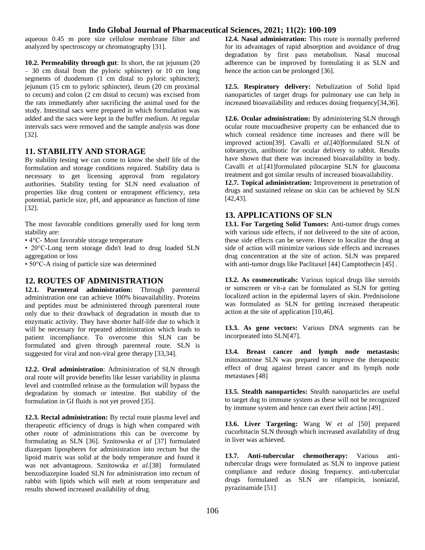aqueous 0.45 m pore size cellulose membrane filter and analyzed by spectroscopy or chromatography [31].

**10.2. Permeability through gut**: In short, the rat jejunum (20 – 30 cm distal from the pyloric sphincter) or 10 cm long segments of duodenum (1 cm distal to pyloric sphincter); jejunum (15 cm to pyloric sphincter), ileum (20 cm proximal to cecum) and colon (2 cm distal to cecum) was excised from the rats immediately after sacrificing the animal used for the study. Intestinal sacs were prepared in which formulation was added and the sacs were kept in the buffer medium. At regular intervals sacs were removed and the sample analysis was done [32].

#### **11. STABILITY AND STORAGE**

By stability testing we can come to know the shelf life of the formulation and storage conditions required. Stability data is necessary to get licensing approval from regulatory authorities. Stability testing for SLN need evaluation of properties like drug content or entrapment efficiency, zeta potential, particle size, pH, and appearance as function of time [32].

The most favorable conditions generally used for long term stability are:

• 4°C- Most favorable storage temperature

• 20°C-Long term storage didn't lead to drug loaded SLN aggregation or loss

• 50°C-A rising of particle size was determined

### **12. ROUTES OF ADMINISTRATION**

**12.1. Parenteral administration:** Through parenteral administration one can achieve 100% bioavailability. Proteins and peptides must be administered through parenteral route only due to their drawback of degradation in mouth due to enzymatic activity. They have shorter half-life due to which it will be necessary for repeated administration which leads to patient incompliance. To overcome this SLN can be formulated and given through parenteral route. SLN is suggested for viral and non-viral gene therapy [33,34].

**12.2. Oral administration**: Administration of SLN through oral route will provide benefits like lesser variability in plasma level and controlled release as the formulation will bypass the degradation by stomach or intestine. But stability of the formulation in GI fluids is not yet proved [35].

**12.3. Rectal administration:** By rectal route plasma level and therapeutic efficiency of drugs is high when compared with other route of administrations this can be overcome by formulating as SLN [36]. Sznitowska *et al* [37] formulated diazepam lipospheres for administration into rectum but the lipoid matrix was solid at the body temperature and found it was not advantageous. Sznitowska *et al.*[38] formulated benzodiazepine loaded SLN for administration into rectum of rabbit with lipids which will melt at room temperature and results showed increased availability of drug.

**12.4. Nasal administration:** This route is normally preferred for its advantages of rapid absorption and avoidance of drug degradation by first pass metabolism. Nasal mucosal adherence can be improved by formulating it as SLN and hence the action can be prolonged [36].

**12.5. Respiratory delivery:** Nebulization of Solid lipid nanoparticles of target drugs for pulmonary use can help in increased bioavailability and reduces dosing frequency[34,36].

**12.6. Ocular administration:** By administering SLN through ocular route mucoadhesive property can be enhanced due to which corneal residence time increases and there will be improved action[39]. Cavalli *et al.*[40]formulated SLN of tobramycin, antibiotic for ocular delivery to rabbit. Results have shown that there was increased bioavailability in body. Cavalli *et al.*[41]formulated pilocarpine SLN for glaucoma treatment and got similar results of increased bioavailability.

**12.7. Topical administration:** Improvement in penetration of drugs and sustained release on skin can be achieved by SLN [42,43].

### **13. APPLICATIONS OF SLN**

**13.1. For Targeting Solid Tumors:** Anti-tumor drugs comes with various side effects, if not delivered to the site of action, these side effects can be severe. Hence to localize the drug at side of action will minimize various side effects and increases drug concentration at the site of action. SLN was prepared with anti-tumor drugs like Paclitaxel [44] Camptothecin [45] .

**13.2. As cosmeceuticals:** Various topical drugs like steroids or sunscreen or vit-a can be formulated as SLN for getting localized action in the epidermal layers of skin. Prednisolone was formulated as SLN for getting increased therapeutic action at the site of application [10,46].

**13.3. As gene vectors:** Various DNA segments can be incorporated into SLN[47].

**13.4. Breast cancer and lymph node metastasis:**  mitoxantrone SLN was prepared to improve the therapeutic effect of drug against breast cancer and its lymph node metastases [48]

**13.5. Stealth nanoparticles:** Stealth nanoparticles are useful to target dug to immune system as these will not be recognized by immune system and hence can exert their action [49] .

**13.6. Liver Targeting:** Wang W *et al* [50] prepared cucurbitacin SLN through which increased availability of drug in liver was achieved.

**13.7. Anti-tubercular chemotherapy:** Various antitubercular drugs were formulated as SLN to improve patient compliance and reduce dosing frequency. anti-tubercular drugs formulated as SLN are rifampicin, isoniazid, pyrazinamide [51]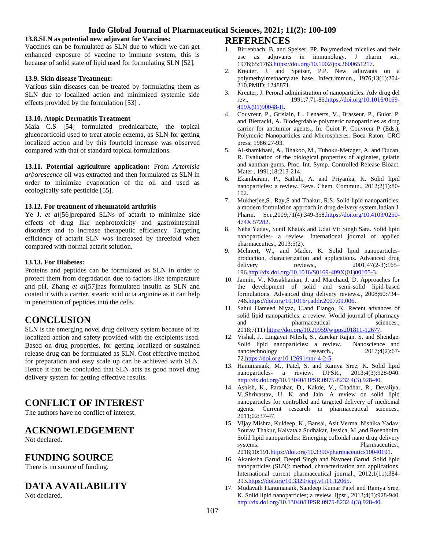#### **13.8.SLN as potential new adjuvant for Vaccines:**

Vaccines can be formulated as SLN due to which we can get enhanced exposure of vaccine to immune system, this is because of solid state of lipid used for formulating SLN [52].

#### **13.9. Skin disease Treatment:**

Various skin diseases can be treated by formulating them as SLN due to localized action and minimized systemic side effects provided by the formulation [53] .

#### **13.10. Atopic Dermatitis Treatment**

Maia C.S [54] formulated prednicarbate, the topical glucocorticoid used to treat atopic eczema, as SLN for getting localized action and by this fourfold increase was observed compared with that of standard topical formulations.

**13.11. Potential agriculture application:** From *Artemisia arborescence* oil was extracted and then formulated as SLN in order to minimize evaporation of the oil and used as ecologically safe pesticide [55].

#### **13.12. For treatment of rheumatoid arthritis**

Ye J. *et al*[56]prepared SLNs of actarit to minimize side effects of drug like nephrotoxicity and gastrointestinal disorders and to increase therapeutic efficiency. Targeting efficiency of actarit SLN was increased by threefold when compared with normal actarit solution.

#### **13.13. For Diabetes:**

Proteins and peptides can be formulated as SLN in order to protect them from degradation due to factors like temperature and pH. Zhang *et al*[57]has formulated insulin as SLN and coated it with a carrier, stearic acid octa arginine as it can help in penetration of peptides into the cells.

# **CONCLUSION**

SLN is the emerging novel drug delivery system because of its localized action and safety provided with the excipients used. Based on drug properties, for getting localized or sustained release drug can be formulated as SLN. Cost effective method for preparation and easy scale up can be achieved with SLN. Hence it can be concluded that SLN acts as good novel drug delivery system for getting effective results.

# **CONFLICT OF INTEREST**

The authors have no conflict of interest.

# **ACKNOWLEDGEMENT**

Not declared.

# **FUNDING SOURCE**

There is no source of funding.

# **DATA AVAILABILITY**

Not declared.

### **REFERENCES**

- 1. Birrenbach, B. and Speiser, PP. Polymerized micelles and their use as adjuvants in immunology. J pharm sci., 1976;65:176[3.https://doi.org/10.1002/jps.2600651217.](https://doi.org/10.1002/jps.2600651217)
- 2. Kreuter, J. and Speiser, P.P. New adjuvants on a polymethylmethacrylate base. Infect.immun., 1976;13(1):204- 210.PMID: 1248871.
- 3. Kreuter, J. Peroral administration of nanoparticles. Adv drug del rev.,  $1991;7:71-86.\frac{https://doi.org/10.1016/0169-10.1016/0169-10.1016/0169-10.1016/0169-10.1016/0169-10.1016/0169-10.1016/0169-10.1016/0169-10.1016/0169-10.1016/0$ rev., 1991;7:71-86[.https://doi.org/10.1016/0169-](https://doi.org/10.1016/0169-409X(91)90048-H) [409X\(91\)90048-H.](https://doi.org/10.1016/0169-409X(91)90048-H)
- 4. Couvreur, P., Grislain, L., Lenaerts, V., Brasseur, P., Guiot, P. and Bierracki, A. Biodegrdable polymeric nanoparticles as drug carrier for antitumor agents., In: Guiot P, Couvreur P (Eds.), Polymeric Nanoparticles and Microspheres. Boca Raton, CRC press; 1986:27-93.
- 5. Al-shamkhani, A., Bhakoo, M., Tuboku-Metzger, A. and Ducan, R. Evaluation of the biological properties of alginates, gelatin and xanthan gums. Proc. Int. Symp. Controlled Release Bioact. Mater., 1991;18:213-214.
- 6. Ekambaram, P., Sathali, A. and Priyanka, K. Solid lipid nanoparticles: a review. Revs. Chem. Commun., 2012;2(1):80- 102.
- 7. Mukherjee,S., Ray,S and Thakur, R.S. Solid lipid nanoparticles: a modern formulation approach in drug delivery system.Indian J. Pharm. Sci.,2009;71(4):349-358[.https://doi.org/10.4103/0250-](https://doi.org/10.4103/0250-474X.57282) [474X.57282.](https://doi.org/10.4103/0250-474X.57282)
- 8. Neha Yadav, Sunil Khatak and Udai Vir Singh Sara. Solid lipid nanoparticles- a review. International journal of applied pharmaceutics., 2013;5(2).
- 9. Mehnert, W., and Mader, K. Solid lipid nanoparticlesproduction, characterization and applications. Advanced drug delivery reviews., 2001;47(2-3):165– 196[.http://dx.doi.org/10.1016/S0169-409X\(01\)00105-3.](http://dx.doi.org/10.1016/S0169-409X(01)00105-3)
- 10. Jannin, V., Musakhanian, J. and Marchaud, D. Approaches for the development of solid and semi-solid lipid-based formulations. Advanced drug delivery reviews., 2008;60:734– 746[.https://doi.org/10.1016/j.addr.2007.09.006.](https://doi.org/10.1016/j.addr.2007.09.006)
- 11. Sahul Hameed Niyaz, U.and Elango, K. Recent advances of solid lipid nanoparticles: a review. World journal of pharmacy and pharmaceutical sciences., 2018;7(11[\).https://doi.org/10.20959/wjpps201811-12677.](https://doi.org/10.20959/wjpps201811-12677)
- 12. Vishal, J., Lingayat Nilesh, S., Zarekar Rajan, S. and Shendge. Solid lipid nanoparticles: a review. Nanoscience and nanotechnology research., 2017;4(2):67-7[2.https://doi.org/10.12691/nnr-4-2-5.](https://doi.org/10.12691/nnr-4-2-5)
- 13. Hanumanaik, M., Patel, S. and Ramya Sree, K. Solid lipid nanoparticles- a review. IJPSR., 2013;4(3):928-940. [http://dx.doi.org/10.13040/IJPSR.0975-8232.4\(3\).928-40.](http://dx.doi.org/10.13040/IJPSR.0975-8232.4(3).928-40)
- 14. Ashish, K., Parashar, D., Kakde, V., Chadhar, R., Devaliya, V.,Shrivastav, U. K. and Jain. A review on solid lipid nanoparticles for controlled and targeted delivery of medicinal agents. Current research in pharmaceutical sciences., 2011;02:37-47.
- 15. Vijay Mishra, Kuldeep, K., Bansal, Asit Verma, Nishika Yadav, Sourav Thakur, Kalvatala Sudhakar, Jessica, M.,and Rosenholm. Solid lipid nanoparticles: Emerging colloidal nano drug delivery systems. Pharmaceutics., 2018;10:191[.https://doi.org/10.3390/pharmaceutics10040191.](https://doi.org/10.3390/pharmaceutics10040191)
- 16. Akanksha Garud, Deepti Singh and Navneet Garud. Solid lipid nanoparticles (SLN): method, characterization and applications. International current pharmaceutical journal., 2012;1(11):384- 393[.https://doi.org/10.3329/icpj.v1i11.12065.](https://doi.org/10.3329/icpj.v1i11.12065)
- 17. Mudavath Hanumanaik, Sandeep Kumar Patel and Ramya Sree, K. Solid lipid nanoparticles; a review. Ijpsr., 2013;4(3):928-940. [http://dx.doi.org/10.13040/IJPSR.0975-8232.4\(3\).928-40.](http://dx.doi.org/10.13040/IJPSR.0975-8232.4(3).928-40)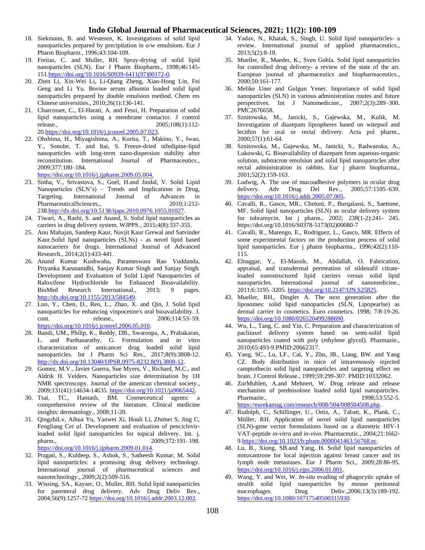- 18. Siekmann, B. and Westesen, K. Investigations of solid lipid nanoparticles prepared by precipitation in o/w emulsions. Eur J Pharm Biopharm., 1996;43:104-109.
- 19. Freitas, C. and Muller, RH. Spray-drying of solid lipid nanoparticles (SLN). Eur J Pharm Biopharm., 1998;46:145- 151[.https://doi.org/10.1016/S0939-6411\(97\)00172-0.](https://doi.org/10.1016/S0939-6411(97)00172-0)
- 20. Zhen Li, Xin-Wei Li, Li-Qiang Zheng, Xiao-Hong Lin, Fei Geng and Li Yu. Bovine serum albumin loaded solid lipid nanoparticles prepared by double emulsion method. Chem res Chinese universities., 2010;26(1):136-141.
- 21. Charcosset, C., El-Harati, A. and Fessi, H. Preparation of solid lipid nanoparticles using a membrane contactor. J control release., 2005;108(1):112- 2[0.https://doi.org/10.1016/j.jconrel.2005.07.023.](https://doi.org/10.1016/j.jconrel.2005.07.023)
- 22. Ohshima, H., Miyagishima, A., Kurita, T., Makino, Y., Iwao, Y., Sonobe, T. and Itai, S. Freeze-dried nifedipine-lipid nanoparticles with long-term nano-dispersion stability after reconstitution. International Journal of Pharmaceutics., 2009;377:180–184.

[https://doi.org/10.1016/j.ijpharm.2009.05.004.](https://doi.org/10.1016/j.ijpharm.2009.05.004)

- 23. Sinha, V., Srivastava, S., Goel, H.and Jindal, V. Solid Lipid Nanoparticles (SLN's) – Trends and Implications in Drug, Targeting. International Journal of Advances in PharmaceuticalSciences., 2010;1:212-238[.http://dx.doi.org/10.5138/ijaps.2010.0976.1055.01027.](http://dx.doi.org/10.5138/ijaps.2010.0976.1055.01027)
- 24. Tiwari, A., Rashi, S. and Anand, S. Solid lipid nanoparticles as carriers in drug delivery system. WJPPS., 2015;4(8):337-355.
- 25. Anu Mahajan, Sandeep Kaur, Navjit Kaur Grewal and Satvinder Kaur.Solid lipid nanoparticles (SLNs) - as novel lipid based nanocarriers for drugs. International Journal of Advanced Research., 2014;2(1):433-441.
- 26. Anand Kumar Kushwaha, Parameswara Rao Vuddanda, Priyanka Karunanidhi, Sanjay Kumar Singh and Sanjay Singh. Development and Evaluation of Solid Lipid Nanoparticles of Raloxifene Hydrochloride for Enhanced Bioavailability. BioMed Research International., 2013; 9 pages. [http://dx.doi.org/10.1155/2013/584549.](http://dx.doi.org/10.1155/2013/584549)
- 27. Luo, Y., Chen, D., Ren, L., Zhao, X. and Qin, J. Solid lipid nanoparticles for enhancing vinpocetine's oral bioavailability. J. cont. release., 2006;114:53–59. [https://doi.org/10.1016/j.jconrel.2006.05.010.](https://doi.org/10.1016/j.jconrel.2006.05.010)
- 28. Bandi, UM., Philip, K., Reddy, DB., Swaroopa, A., Prabakaran, L. and Parthasarathy, G. Formulation and in vitro characterization of anticancer drug loaded solid lipid nanoparticles. Int J Pharm Sci Res., 2017;8(9):3808-12. [http://dx.doi.org/10.13040/IJPSR.0975-8232.8\(9\).3808-12.](http://dx.doi.org/10.13040/IJPSR.0975-8232.8(9).3808-12)
- 29. Gomez, M.V., Javier Guerra, Sue Myers, V., Richard, M.C., and Aldrik H. Velders. Nanoparticles size determination by 1H NMR spectroscopy. Journal of the american chemical society., 2009;131(41):14634-14635. [https://doi.org/10.1021/ja9065442.](https://doi.org/10.1021/ja9065442)
- 30. Tsai, TC., Hantash, BM. Cosmeceutical agents: a comprehensive review of the literature. Clinical medicine insights: dermatology., 2008;11-20.
- 31. QingzhiLv, Aihua Yu, Yanwei Xi, Houli Li, Zhimei S, Jing C, Fengliang C*et al*. Development and evaluation of penciclovirloaded solid lipid nanoparticles for topical delivery. Int. j. pharm., 2009;372:191-198. [https://doi.org/10.1016/j.ijpharm.2009.01.014.](https://doi.org/10.1016/j.ijpharm.2009.01.014)
- 32. Pragati, S., Kuldeep, S., Ashok, S., Satheesh Kumar, M. Solid lipid nanoparticles: a promising drug delivery technology. International journal of pharmaceutical sciences and nanotechnology., 2009;2(2):509-516.
- 33. Wissing, SA., Kayser, O., Muller, RH. Solid lipid nanoparticles for parenteral drug delivery. Adv Drug Deliv Rev., 2004;56(9):1257-7[2 https://doi.org/10.1016/j.addr.2003.12.002.](https://doi.org/10.1016/j.addr.2003.12.002)
- 34. Yadav, N., Khatak, S., Singh, U. Solid lipid nanoparticles- a review. International journal of applied pharmaceutics., 2013;5(2):8-18.
- 35. Mueller, R., Maeder, K., Sven Gohla. Solid lipid nanoparticles for controlled drug delivery- a review of the state of the art. European journal of pharmaceutics and biopharmaceutics., 2000;50:161-177.
- 36. Melike Uner and Gulgun Yener. Importance of solid lipid nanoparticles (SLN) in various administration routes and future perspectives. Int J Nanomedicine., 2007;2(3):289–300. PMC2676658.
- 37. Sznitowska, M., Janicki, S., Gajewska, M., Kulik, M. Investigation of diazepam lipospheres based on witepsol and lecithin for oral or rectal delivery. Acta pol pharm., 2000;57(1):61-64.
- 38. Sznitowska, M., Gajewska, M., Janicki, S., Radwanska, A., Lukowski, G. Bioavailability of diazepam from aqueous-organic solution, submicron emulsion and solid lipid nanoparticles after rectal administration in rabbits. Eur j pharm biopharma., 2001;52(2):159-163.
- 39. Ludwig, A. The use of mucoadhesive polymers in ocular drug delivery. Adv Drug Del Rev., 2005;57:1595–639. [https://doi.org/10.1016/j.addr.2005.07.005.](https://doi.org/10.1016/j.addr.2005.07.005)
- 40. Cavalli, R., Gasco, MR., Chetoni, P., Burqalassi, S., Saettone, MF. Solid lipid nanoparticles (SLN) as ocular delivery system for tobramycin. Int j pharm., 2002; 238(1-2):241- 245. https://doi.org/10.1016/S0378-5173(02)00080-7
- 41. Cavalli, R., Marengo, E., Rodriguez, L., Gasco, MR. Effects of some experimental factors on the production process of solid lipid nanoparticles. Eur j pharm biopharma., 1996;42(2):110- 115.
- 42. Elnaggar, Y., El-Massik, M., Abdallah, O. Fabrication, appraisal, and transdermal permeation of sildenafil citrateloaded nanostructured lipid carriers versus solid lipid nanoparticles. International journal of nanomedicine., 2011;6:3195–3205[. https://doi.org/10.2147/IJN.S25825.](https://doi.org/10.2147/IJN.S25825)
- 43. Mueller, RH., Dingler A. The next generation after the liposomes: solid lipid nanoparticles (SLN, Lipopearlse) as dermal carrier in cosmetics. Euro cosmetics. 1998; 7/8:19-26. [https://doi.org/10.1080/026520499288690.](https://doi.org/10.1080/026520499288690)
- 44. Wu, L., Tang, C. and Yin, C. Preparation and characterization of paclitaxel delivery system based on semi-solid lipid nanoparticles coated with poly (ethylene glycol). Pharmazie., 2010;65:493-9.PMID:20662317.
- 45. Yang, SC., Lu, LF., Cai, Y., Zhu, JB., Liang, BW. and Yang CZ. Body distribution in mice of intravenously injected camptothecin solid lipid nanoparticles and targeting effect on brain. J Control Release., 1999;59:299-307. PMID:10332062.
- 46. ZurMuhlen, A.and Mehnert, W. Drug release and release mechanism of prednisolone loaded solid lipid nanoparticles. Pharmazie., 1998;53:552-5. [https://eurekamag.com/research/008/504/008504508.php.](https://eurekamag.com/research/008/504/008504508.php)
- 47. Rudolph, C., Schillinger, U., Ortiz, A., Tabatt, K., Plank, C., Müller, RH. Application of novel solid lipid nanoparticles (SLN)-gene vector formulations based on a diametric HIV-1 VAT-peptide *in-vitro* and *in-vivo*. Pharmaceutic., 2004;21:1662- [9.https://doi.org/10.1023/b:pham.0000041463.56768.ec.](https://doi.org/10.1023/b:pham.0000041463.56768.ec)
- 48. Lu, B., Xiong, SB.and Yang, H. Solid lipid nanoparticles of mitoxantrone for local injection against breast cancer and its lymph node metastases. Eur J Pharm Sci., 2009;28:86-95. [https://doi.org/10.1016/j.ejps.2006.01.001.](https://doi.org/10.1016/j.ejps.2006.01.001)
- 49. Wang, Y. and Wei, W. *In-situ* evading of phagocytic uptake of stealth solid lipid nanoparticles by mouse peritoneal macrophages. Drug Deliv.,2006;13(3):189-192. [https://doi.org/10.1080/10717540500315930.](https://doi.org/10.1080/10717540500315930)